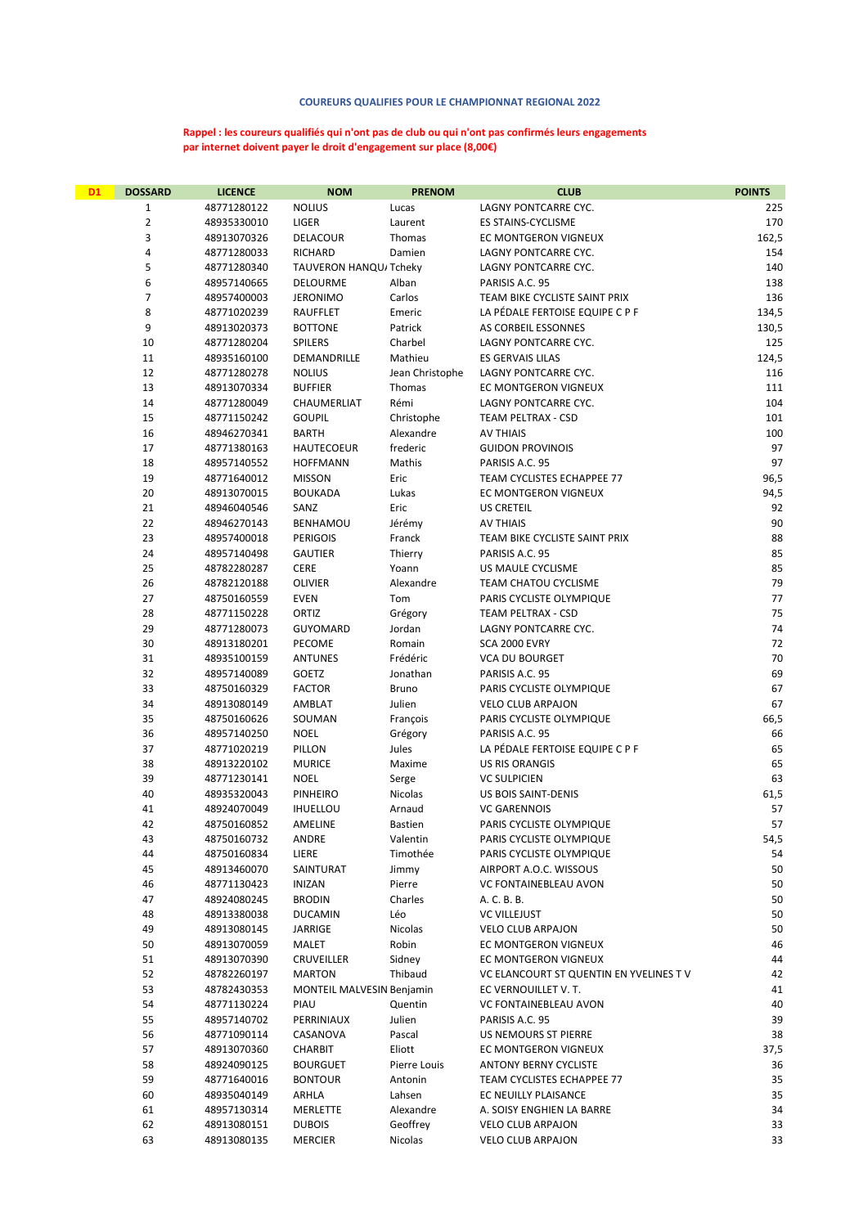## COUREURS QUALIFIES POUR LE CHAMPIONNAT REGIONAL 2022

## Rappel : les coureurs qualifiés qui n'ont pas de club ou qui n'ont pas confirmés leurs engagements par internet doivent payer le droit d'engagement sur place (8,00€)

| <b>D1</b> | <b>DOSSARD</b> | <b>LICENCE</b>             | <b>NOM</b>                         | <b>PRENOM</b>     | <b>CLUB</b>                                                    | <b>POINTS</b> |
|-----------|----------------|----------------------------|------------------------------------|-------------------|----------------------------------------------------------------|---------------|
|           | 1              | 48771280122                | <b>NOLIUS</b>                      | Lucas             | LAGNY PONTCARRE CYC.                                           | 225           |
|           | $\overline{2}$ | 48935330010                | LIGER                              | Laurent           | ES STAINS-CYCLISME                                             | 170           |
|           | 3              | 48913070326                | DELACOUR                           | Thomas            | EC MONTGERON VIGNEUX                                           | 162,5         |
|           | 4              | 48771280033                | <b>RICHARD</b>                     | Damien            | LAGNY PONTCARRE CYC.                                           | 154           |
|           | 5              | 48771280340                | TAUVERON HANQU/Tcheky              |                   | LAGNY PONTCARRE CYC.                                           | 140           |
|           | 6              | 48957140665                | DELOURME                           | Alban             | PARISIS A.C. 95                                                | 138           |
|           | 7              | 48957400003                | <b>JERONIMO</b>                    | Carlos            | TEAM BIKE CYCLISTE SAINT PRIX                                  | 136           |
|           | 8              | 48771020239                | RAUFFLET                           | Emeric            | LA PÉDALE FERTOISE EQUIPE C P F                                | 134,5         |
|           | 9              | 48913020373                | <b>BOTTONE</b>                     | Patrick           | AS CORBEIL ESSONNES                                            | 130,5         |
|           | 10             | 48771280204                | <b>SPILERS</b>                     | Charbel           | LAGNY PONTCARRE CYC.                                           | 125           |
|           | 11             | 48935160100                | DEMANDRILLE                        | Mathieu           | ES GERVAIS LILAS                                               | 124,5         |
|           | 12             | 48771280278                | <b>NOLIUS</b>                      | Jean Christophe   | LAGNY PONTCARRE CYC.                                           | 116           |
|           | 13             | 48913070334                | <b>BUFFIER</b>                     | Thomas            | EC MONTGERON VIGNEUX                                           | 111           |
|           | 14             | 48771280049                | CHAUMERLIAT                        | Rémi              | LAGNY PONTCARRE CYC.                                           | 104           |
|           | 15             | 48771150242                | <b>GOUPIL</b>                      | Christophe        | TEAM PELTRAX - CSD                                             | 101           |
|           | 16             | 48946270341                | <b>BARTH</b>                       | Alexandre         | AV THIAIS                                                      | 100           |
|           | 17             | 48771380163                | <b>HAUTECOEUR</b>                  | frederic          | <b>GUIDON PROVINOIS</b>                                        | 97            |
|           | 18             | 48957140552                | <b>HOFFMANN</b>                    | Mathis            | PARISIS A.C. 95                                                | 97            |
|           | 19             | 48771640012                | <b>MISSON</b>                      | Eric              | TEAM CYCLISTES ECHAPPEE 77                                     | 96,5          |
|           | 20<br>21       | 48913070015<br>48946040546 | <b>BOUKADA</b>                     | Lukas             | EC MONTGERON VIGNEUX                                           | 94,5          |
|           | 22             |                            | SANZ                               | Eric              | <b>US CRETEIL</b><br><b>AV THIAIS</b>                          | 92<br>90      |
|           | 23             | 48946270143<br>48957400018 | BENHAMOU<br><b>PERIGOIS</b>        | Jérémy<br>Franck  | TEAM BIKE CYCLISTE SAINT PRIX                                  | 88            |
|           | 24             | 48957140498                | <b>GAUTIER</b>                     | Thierry           | PARISIS A.C. 95                                                | 85            |
|           | 25             | 48782280287                | CERE                               | Yoann             | US MAULE CYCLISME                                              | 85            |
|           | 26             | 48782120188                | OLIVIER                            | Alexandre         | TEAM CHATOU CYCLISME                                           | 79            |
|           | 27             | 48750160559                | <b>EVEN</b>                        | Tom               | PARIS CYCLISTE OLYMPIQUE                                       | 77            |
|           | 28             | 48771150228                | ORTIZ                              | Grégory           | TEAM PELTRAX - CSD                                             | 75            |
|           | 29             | 48771280073                | <b>GUYOMARD</b>                    | Jordan            | LAGNY PONTCARRE CYC.                                           | 74            |
|           | 30             | 48913180201                | PECOME                             | Romain            | SCA 2000 EVRY                                                  | 72            |
|           | 31             | 48935100159                | <b>ANTUNES</b>                     | Frédéric          | <b>VCA DU BOURGET</b>                                          | 70            |
|           | 32             | 48957140089                | GOETZ                              | Jonathan          | PARISIS A.C. 95                                                | 69            |
|           | 33             | 48750160329                | <b>FACTOR</b>                      | Bruno             | PARIS CYCLISTE OLYMPIQUE                                       | 67            |
|           | 34             | 48913080149                | AMBLAT                             | Julien            | <b>VELO CLUB ARPAJON</b>                                       | 67            |
|           | 35             | 48750160626                | SOUMAN                             | François          | PARIS CYCLISTE OLYMPIQUE                                       | 66,5          |
|           | 36             | 48957140250                | <b>NOEL</b>                        | Grégory           | PARISIS A.C. 95                                                | 66            |
|           | 37             | 48771020219                | PILLON                             | Jules             | LA PÉDALE FERTOISE EQUIPE C P F                                | 65            |
|           | 38             | 48913220102                | <b>MURICE</b>                      | Maxime            | <b>US RIS ORANGIS</b>                                          | 65            |
|           | 39             | 48771230141                | <b>NOEL</b>                        | Serge             | <b>VC SULPICIEN</b>                                            | 63            |
|           | 40             | 48935320043                | <b>PINHEIRO</b>                    | Nicolas           | <b>US BOIS SAINT-DENIS</b>                                     | 61,5          |
|           | 41             | 48924070049                | <b>IHUELLOU</b>                    | Arnaud            | <b>VC GARENNOIS</b>                                            | 57            |
|           | 42             | 48750160852                | AMELINE                            | <b>Bastien</b>    | PARIS CYCLISTE OLYMPIQUE                                       | 57            |
|           | 43             | 48750160732                | ANDRE                              | Valentin          | PARIS CYCLISTE OLYMPIQUE                                       | 54,5          |
|           | 44             | 48750160834                | LIERE                              | Timothée          | PARIS CYCLISTE OLYMPIQUE                                       | 54            |
|           | 45             | 48913460070                | SAINTURAT                          | Jimmy             | AIRPORT A.O.C. WISSOUS                                         | 50            |
|           | 46             | 48771130423                | <b>INIZAN</b>                      | Pierre            | VC FONTAINEBLEAU AVON                                          | 50            |
|           | 47             | 48924080245                | <b>BRODIN</b>                      | Charles           | A. C. B. B.                                                    | 50            |
|           | 48             | 48913380038                | <b>DUCAMIN</b>                     | Léo               | <b>VC VILLEJUST</b>                                            | 50            |
|           | 49             | 48913080145                | JARRIGE                            | Nicolas           | <b>VELO CLUB ARPAJON</b>                                       | 50            |
|           | 50             | 48913070059                | MALET                              | Robin             | EC MONTGERON VIGNEUX                                           | 46            |
|           | 51<br>52       | 48913070390<br>48782260197 | <b>CRUVEILLER</b><br><b>MARTON</b> | Sidney<br>Thibaud | EC MONTGERON VIGNEUX<br>VC ELANCOURT ST QUENTIN EN YVELINES TV | 44<br>42      |
|           | 53             | 48782430353                | MONTEIL MALVESIN Benjamin          |                   | EC VERNOUILLET V.T.                                            | 41            |
|           | 54             | 48771130224                | PIAU                               | Quentin           | VC FONTAINEBLEAU AVON                                          | 40            |
|           | 55             | 48957140702                | PERRINIAUX                         | Julien            | PARISIS A.C. 95                                                | 39            |
|           | 56             | 48771090114                | CASANOVA                           | Pascal            | US NEMOURS ST PIERRE                                           | 38            |
|           | 57             | 48913070360                | <b>CHARBIT</b>                     | Eliott            | EC MONTGERON VIGNEUX                                           | 37,5          |
|           | 58             | 48924090125                | <b>BOURGUET</b>                    | Pierre Louis      | <b>ANTONY BERNY CYCLISTE</b>                                   | 36            |
|           | 59             | 48771640016                | <b>BONTOUR</b>                     | Antonin           | TEAM CYCLISTES ECHAPPEE 77                                     | 35            |
|           | 60             | 48935040149                | ARHLA                              | Lahsen            | EC NEUILLY PLAISANCE                                           | 35            |
|           | 61             | 48957130314                | MERLETTE                           | Alexandre         | A. SOISY ENGHIEN LA BARRE                                      | 34            |
|           | 62             | 48913080151                | <b>DUBOIS</b>                      | Geoffrey          | <b>VELO CLUB ARPAJON</b>                                       | 33            |
|           | 63             | 48913080135                | <b>MERCIER</b>                     | Nicolas           | VELO CLUB ARPAJON                                              | 33            |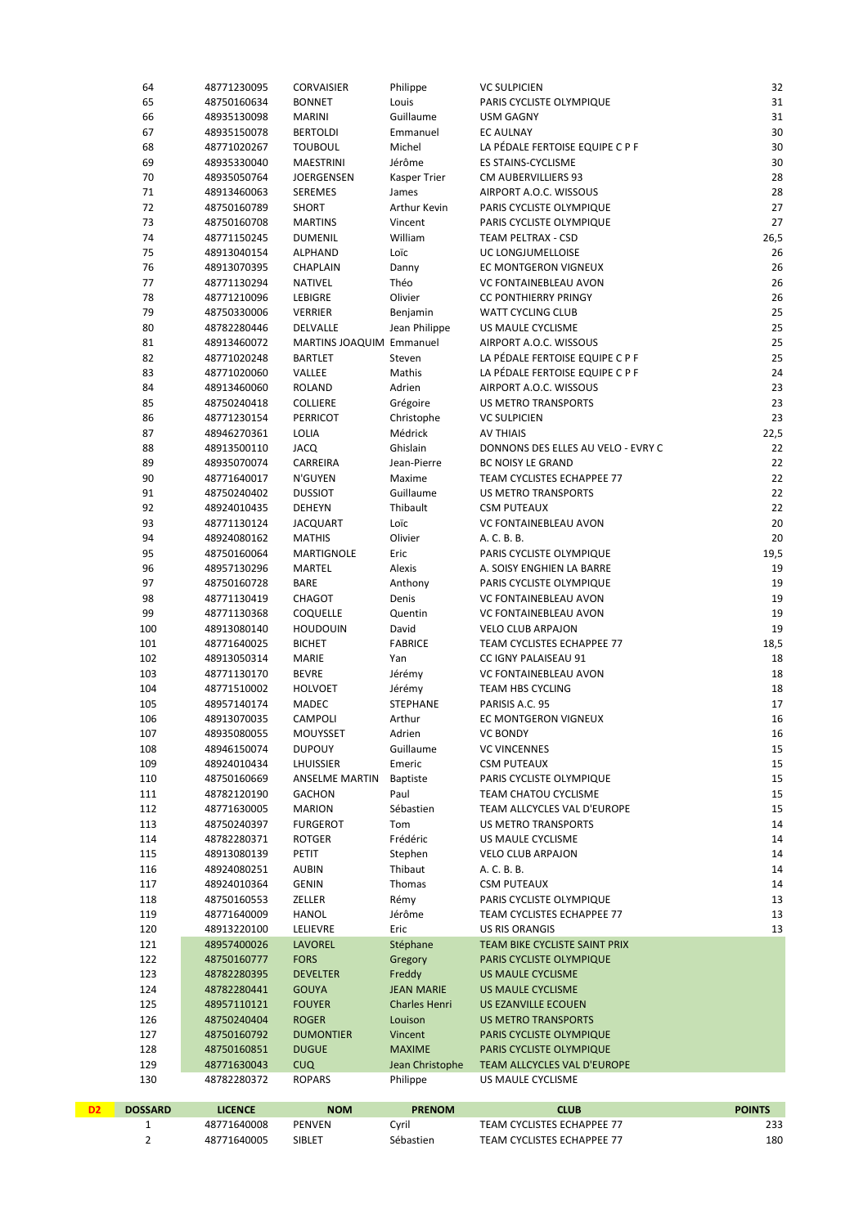|    | 64             | 48771230095                | <b>CORVAISIER</b>                  | Philippe                  | <b>VC SULPICIEN</b>                                  | 32            |
|----|----------------|----------------------------|------------------------------------|---------------------------|------------------------------------------------------|---------------|
|    | 65             | 48750160634                | <b>BONNET</b>                      | Louis                     | PARIS CYCLISTE OLYMPIQUE                             | $31\,$        |
|    | 66             | 48935130098                | <b>MARINI</b>                      | Guillaume                 | <b>USM GAGNY</b>                                     | 31            |
|    | 67             | 48935150078                | <b>BERTOLDI</b>                    | Emmanuel                  | <b>EC AULNAY</b>                                     | 30            |
|    | 68             | 48771020267                | <b>TOUBOUL</b>                     | Michel                    | LA PÉDALE FERTOISE EQUIPE C P F                      | 30            |
|    | 69             | 48935330040                | <b>MAESTRINI</b>                   | Jérôme                    | ES STAINS-CYCLISME                                   | 30            |
|    | 70<br>71       | 48935050764<br>48913460063 | JOERGENSEN<br><b>SEREMES</b>       | Kasper Trier<br>James     | CM AUBERVILLIERS 93<br>AIRPORT A.O.C. WISSOUS        | 28<br>28      |
|    | 72             | 48750160789                | <b>SHORT</b>                       | Arthur Kevin              | PARIS CYCLISTE OLYMPIQUE                             | 27            |
|    | 73             | 48750160708                | <b>MARTINS</b>                     | Vincent                   | PARIS CYCLISTE OLYMPIQUE                             | 27            |
|    | 74             | 48771150245                | <b>DUMENIL</b>                     | William                   | TEAM PELTRAX - CSD                                   | 26,5          |
|    | 75             | 48913040154                | ALPHAND                            | Loïc                      | UC LONGJUMELLOISE                                    | 26            |
|    | 76             | 48913070395                | CHAPLAIN                           | Danny                     | EC MONTGERON VIGNEUX                                 | 26            |
|    | 77             | 48771130294                | NATIVEL                            | Théo                      | VC FONTAINEBLEAU AVON                                | 26            |
|    | 78             | 48771210096                | LEBIGRE                            | Olivier                   | <b>CC PONTHIERRY PRINGY</b>                          | 26            |
|    | 79             | 48750330006                | <b>VERRIER</b>                     | Benjamin                  | WATT CYCLING CLUB                                    | 25            |
|    | 80             | 48782280446                | DELVALLE                           | Jean Philippe             | US MAULE CYCLISME                                    | 25            |
|    | 81             | 48913460072                | MARTINS JOAQUIM Emmanuel           |                           | AIRPORT A.O.C. WISSOUS                               | 25            |
|    | 82             | 48771020248                | <b>BARTLET</b>                     | Steven                    | LA PÉDALE FERTOISE EQUIPE C P F                      | 25            |
|    | 83             | 48771020060                | VALLEE                             | Mathis                    | LA PÉDALE FERTOISE EQUIPE C P F                      | 24            |
|    | 84             | 48913460060                | <b>ROLAND</b>                      | Adrien                    | AIRPORT A.O.C. WISSOUS                               | 23            |
|    | 85             | 48750240418                | COLLIERE                           | Grégoire                  | US METRO TRANSPORTS                                  | 23            |
|    | 86             | 48771230154                | <b>PERRICOT</b>                    | Christophe                | <b>VC SULPICIEN</b>                                  | 23            |
|    | 87             | 48946270361                | LOLIA                              | Médrick                   | <b>AV THIAIS</b>                                     | 22,5          |
|    | 88             | 48913500110                | <b>JACQ</b>                        | Ghislain                  | DONNONS DES ELLES AU VELO - EVRY C                   | 22            |
|    | 89             | 48935070074                | CARREIRA                           | Jean-Pierre               | <b>BC NOISY LE GRAND</b>                             | 22            |
|    | 90             | 48771640017                | N'GUYEN                            | Maxime                    | TEAM CYCLISTES ECHAPPEE 77                           | 22            |
|    | 91<br>92       | 48750240402                | <b>DUSSIOT</b>                     | Guillaume<br>Thibault     | US METRO TRANSPORTS                                  | 22<br>22      |
|    | 93             | 48924010435<br>48771130124 | DEHEYN<br><b>JACQUART</b>          | Loïc                      | <b>CSM PUTEAUX</b><br>VC FONTAINEBLEAU AVON          | $20\,$        |
|    | 94             | 48924080162                | <b>MATHIS</b>                      | Olivier                   | A. C. B. B.                                          | 20            |
|    | 95             | 48750160064                | MARTIGNOLE                         | Eric                      | PARIS CYCLISTE OLYMPIQUE                             | 19,5          |
|    | 96             | 48957130296                | MARTEL                             | Alexis                    | A. SOISY ENGHIEN LA BARRE                            | 19            |
|    | 97             | 48750160728                | <b>BARE</b>                        | Anthony                   | PARIS CYCLISTE OLYMPIQUE                             | 19            |
|    | 98             | 48771130419                | CHAGOT                             | Denis                     | VC FONTAINEBLEAU AVON                                | 19            |
|    | 99             | 48771130368                | COQUELLE                           | Quentin                   | VC FONTAINEBLEAU AVON                                | 19            |
|    | 100            | 48913080140                | <b>HOUDOUIN</b>                    | David                     | <b>VELO CLUB ARPAJON</b>                             | 19            |
|    | 101            | 48771640025                | <b>BICHET</b>                      | <b>FABRICE</b>            | TEAM CYCLISTES ECHAPPEE 77                           | 18,5          |
|    | 102            | 48913050314                | <b>MARIE</b>                       | Yan                       | CC IGNY PALAISEAU 91                                 | 18            |
|    | 103            | 48771130170                | <b>BEVRE</b>                       | Jérémy                    | VC FONTAINEBLEAU AVON                                | 18            |
|    | 104            | 48771510002                | <b>HOLVOET</b>                     | Jérémy                    | TEAM HBS CYCLING                                     | 18            |
|    | 105            | 48957140174                | MADEC                              | <b>STEPHANE</b>           | PARISIS A.C. 95                                      | 17            |
|    | 106            | 48913070035                | CAMPOLI                            | Arthur                    | <b>EC MONTGERON VIGNEUX</b>                          | 16            |
|    | 107            | 48935080055                | MOUYSSET                           | Adrien                    | <b>VC BONDY</b>                                      | ${\bf 16}$    |
|    | 108            | 48946150074                | <b>DUPOUY</b>                      | Guillaume                 | <b>VC VINCENNES</b>                                  | 15            |
|    | 109<br>110     | 48924010434<br>48750160669 | LHUISSIER<br><b>ANSELME MARTIN</b> | Emeric<br><b>Baptiste</b> | <b>CSM PUTEAUX</b><br>PARIS CYCLISTE OLYMPIQUE       | 15<br>15      |
|    | 111            | 48782120190                | <b>GACHON</b>                      | Paul                      | <b>TEAM CHATOU CYCLISME</b>                          | 15            |
|    | 112            | 48771630005                | <b>MARION</b>                      | Sébastien                 | TEAM ALLCYCLES VAL D'EUROPE                          | 15            |
|    | 113            | 48750240397                | <b>FURGEROT</b>                    | Tom                       | US METRO TRANSPORTS                                  | 14            |
|    | 114            | 48782280371                | <b>ROTGER</b>                      | Frédéric                  | US MAULE CYCLISME                                    | 14            |
|    | 115            | 48913080139                | PETIT                              | Stephen                   | <b>VELO CLUB ARPAJON</b>                             | 14            |
|    | 116            | 48924080251                | <b>AUBIN</b>                       | Thibaut                   | A. C. B. B.                                          | 14            |
|    | 117            | 48924010364                | <b>GENIN</b>                       | Thomas                    | <b>CSM PUTEAUX</b>                                   | 14            |
|    | 118            | 48750160553                | ZELLER                             | Rémy                      | PARIS CYCLISTE OLYMPIQUE                             | 13            |
|    | 119            | 48771640009                | <b>HANOL</b>                       | Jérôme                    | TEAM CYCLISTES ECHAPPEE 77                           | 13            |
|    | 120            | 48913220100                | LELIEVRE                           | Eric                      | <b>US RIS ORANGIS</b>                                | 13            |
|    | 121            | 48957400026                | LAVOREL                            | Stéphane                  | TEAM BIKE CYCLISTE SAINT PRIX                        |               |
|    | 122            | 48750160777                | <b>FORS</b>                        | Gregory                   | PARIS CYCLISTE OLYMPIQUE                             |               |
|    | 123            | 48782280395                | <b>DEVELTER</b>                    | Freddy                    | <b>US MAULE CYCLISME</b>                             |               |
|    | 124            | 48782280441                | <b>GOUYA</b>                       | <b>JEAN MARIE</b>         | <b>US MAULE CYCLISME</b>                             |               |
|    | 125            | 48957110121                | <b>FOUYER</b>                      | <b>Charles Henri</b>      | US EZANVILLE ECOUEN                                  |               |
|    | 126            | 48750240404                | <b>ROGER</b>                       | Louison                   | <b>US METRO TRANSPORTS</b>                           |               |
|    | 127<br>128     | 48750160792<br>48750160851 | <b>DUMONTIER</b><br><b>DUGUE</b>   | Vincent<br><b>MAXIME</b>  | PARIS CYCLISTE OLYMPIQUE<br>PARIS CYCLISTE OLYMPIQUE |               |
|    | 129            | 48771630043                | <b>CUQ</b>                         | Jean Christophe           | TEAM ALLCYCLES VAL D'EUROPE                          |               |
|    | 130            | 48782280372                | <b>ROPARS</b>                      | Philippe                  | US MAULE CYCLISME                                    |               |
|    |                |                            |                                    |                           |                                                      |               |
| D2 | <b>DOSSARD</b> | <b>LICENCE</b>             | <b>NOM</b>                         | <b>PRENOM</b>             | <b>CLUB</b>                                          | <b>POINTS</b> |
|    | 1              | 48771640008                | PENVEN                             | Cyril                     | TEAM CYCLISTES ECHAPPEE 77                           | 233           |

2 48771640005 SIBLET Sébastien TEAM CYCLISTES ECHAPPEE 77 48771640005 SEBLET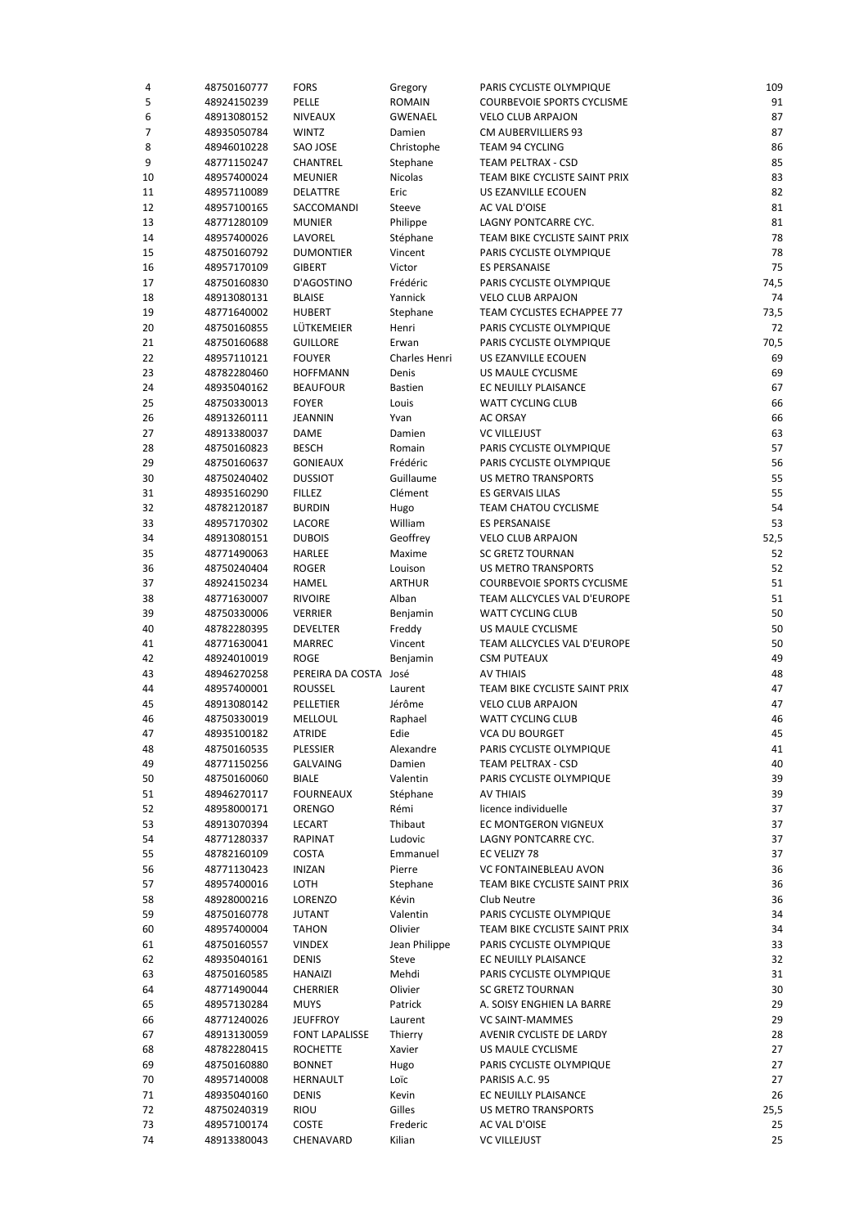| 4  | 48750160777                | <b>FORS</b>           | Gregory              | PARIS CYCLISTE OLYMPIQUE                     | 109      |
|----|----------------------------|-----------------------|----------------------|----------------------------------------------|----------|
| 5  | 48924150239                | PELLE                 | <b>ROMAIN</b>        | <b>COURBEVOIE SPORTS CYCLISME</b>            | 91       |
| 6  | 48913080152                | <b>NIVEAUX</b>        | GWENAEL              | <b>VELO CLUB ARPAJON</b>                     | 87       |
| 7  | 48935050784                | <b>WINTZ</b>          | Damien               | CM AUBERVILLIERS 93                          | 87       |
| 8  | 48946010228                | SAO JOSE              | Christophe           | TEAM 94 CYCLING                              | 86       |
| 9  | 48771150247                | CHANTREL              | Stephane             | TEAM PELTRAX - CSD                           | 85       |
| 10 | 48957400024                | <b>MEUNIER</b>        | Nicolas              | TEAM BIKE CYCLISTE SAINT PRIX                | 83       |
| 11 | 48957110089                | DELATTRE              | Eric                 | US EZANVILLE ECOUEN                          | 82       |
| 12 | 48957100165                | SACCOMANDI            | Steeve               | AC VAL D'OISE                                | 81       |
| 13 | 48771280109                | <b>MUNIER</b>         | Philippe             | LAGNY PONTCARRE CYC.                         | 81       |
| 14 | 48957400026                | LAVOREL               | Stéphane             | TEAM BIKE CYCLISTE SAINT PRIX                | 78       |
| 15 | 48750160792                | <b>DUMONTIER</b>      | Vincent              | PARIS CYCLISTE OLYMPIQUE                     | 78       |
| 16 | 48957170109                | <b>GIBERT</b>         | Victor               | <b>ES PERSANAISE</b>                         | 75       |
| 17 | 48750160830                | D'AGOSTINO            | Frédéric             | PARIS CYCLISTE OLYMPIQUE                     | 74,5     |
| 18 | 48913080131                | <b>BLAISE</b>         | Yannick              | <b>VELO CLUB ARPAJON</b>                     | 74       |
| 19 | 48771640002                | <b>HUBERT</b>         | Stephane             | TEAM CYCLISTES ECHAPPEE 77                   | 73,5     |
| 20 | 48750160855                | LÜTKEMEIER            | Henri                | PARIS CYCLISTE OLYMPIQUE                     | 72       |
| 21 | 48750160688                | <b>GUILLORE</b>       | Erwan                | PARIS CYCLISTE OLYMPIQUE                     | 70,5     |
| 22 | 48957110121                | <b>FOUYER</b>         | Charles Henri        | US EZANVILLE ECOUEN                          | 69       |
| 23 | 48782280460                | <b>HOFFMANN</b>       | Denis                | US MAULE CYCLISME                            | 69       |
| 24 | 48935040162                | <b>BEAUFOUR</b>       | <b>Bastien</b>       | EC NEUILLY PLAISANCE                         | 67       |
| 25 | 48750330013                | <b>FOYER</b>          | Louis                | <b>WATT CYCLING CLUB</b>                     | 66       |
| 26 | 48913260111                | <b>JEANNIN</b>        | Yvan                 | <b>AC ORSAY</b>                              | 66       |
| 27 | 48913380037                | DAME                  | Damien               | <b>VC VILLEJUST</b>                          | 63       |
| 28 | 48750160823                | <b>BESCH</b>          | Romain               | PARIS CYCLISTE OLYMPIQUE                     | 57       |
| 29 | 48750160637                | <b>GONIEAUX</b>       | Frédéric             | PARIS CYCLISTE OLYMPIQUE                     | 56       |
| 30 | 48750240402                | <b>DUSSIOT</b>        | Guillaume            | US METRO TRANSPORTS                          | 55       |
| 31 | 48935160290                | <b>FILLEZ</b>         | Clément              | ES GERVAIS LILAS                             | 55       |
| 32 | 48782120187                | <b>BURDIN</b>         | Hugo                 | TEAM CHATOU CYCLISME                         | 54       |
| 33 | 48957170302                | LACORE                | William              | <b>ES PERSANAISE</b>                         | 53       |
| 34 | 48913080151                | <b>DUBOIS</b>         | Geoffrey             | <b>VELO CLUB ARPAJON</b>                     | 52,5     |
| 35 | 48771490063                | HARLEE                | Maxime               | <b>SC GRETZ TOURNAN</b>                      | 52       |
| 36 | 48750240404                | <b>ROGER</b>          | Louison              | US METRO TRANSPORTS                          | 52       |
| 37 | 48924150234                | HAMEL                 | <b>ARTHUR</b>        | <b>COURBEVOIE SPORTS CYCLISME</b>            | 51       |
| 38 | 48771630007                | <b>RIVOIRE</b>        | Alban                | TEAM ALLCYCLES VAL D'EUROPE                  | 51       |
| 39 | 48750330006                | <b>VERRIER</b>        | Benjamin             | WATT CYCLING CLUB                            | 50       |
| 40 | 48782280395                | <b>DEVELTER</b>       | Freddy               | US MAULE CYCLISME                            | 50       |
| 41 | 48771630041                | MARREC                | Vincent              | TEAM ALLCYCLES VAL D'EUROPE                  | 50       |
| 42 | 48924010019                | <b>ROGE</b>           | Benjamin             | <b>CSM PUTEAUX</b>                           | 49       |
| 43 | 48946270258                | PEREIRA DA COSTA José |                      | <b>AV THIAIS</b>                             | 48       |
| 44 | 48957400001                | ROUSSEL               | Laurent              | TEAM BIKE CYCLISTE SAINT PRIX                | 47       |
| 45 | 48913080142                | PELLETIER             | Jérôme               | <b>VELO CLUB ARPAJON</b>                     | 47       |
| 46 | 48750330019                | MELLOUL               | Raphael              | WATT CYCLING CLUB                            | 46       |
| 47 | 48935100182                | <b>ATRIDE</b>         | Edie                 | VCA DU BOURGET                               | 45       |
| 48 | 48750160535                | PLESSIER              | Alexandre            | PARIS CYCLISTE OLYMPIQUE                     | 41       |
| 49 | 48771150256                | GALVAING              | Damien               | TEAM PELTRAX - CSD                           | 40       |
|    |                            |                       |                      |                                              | 39       |
| 50 | 48750160060<br>48946270117 | <b>BIALE</b>          | Valentin<br>Stéphane | PARIS CYCLISTE OLYMPIQUE<br>AV THIAIS        | 39       |
| 51 |                            | <b>FOURNEAUX</b>      |                      |                                              |          |
| 52 | 48958000171<br>48913070394 | ORENGO                | Rémi<br>Thibaut      | licence individuelle<br>EC MONTGERON VIGNEUX | 37<br>37 |
| 53 |                            | LECART                |                      | LAGNY PONTCARRE CYC.                         |          |
| 54 | 48771280337                | RAPINAT               | Ludovic              |                                              | 37       |
| 55 | 48782160109                | <b>COSTA</b>          | Emmanuel<br>Pierre   | EC VELIZY 78                                 | 37       |
| 56 | 48771130423                | INIZAN                |                      | VC FONTAINEBLEAU AVON                        | 36       |
| 57 | 48957400016                | LOTH                  | Stephane             | TEAM BIKE CYCLISTE SAINT PRIX                | 36       |
| 58 | 48928000216                | LORENZO               | Kévin                | Club Neutre                                  | 36       |
| 59 | 48750160778                | <b>JUTANT</b>         | Valentin             | PARIS CYCLISTE OLYMPIQUE                     | 34       |
| 60 | 48957400004                | TAHON                 | Olivier              | TEAM BIKE CYCLISTE SAINT PRIX                | 34       |
| 61 | 48750160557                | <b>VINDEX</b>         | Jean Philippe        | PARIS CYCLISTE OLYMPIQUE                     | 33       |
| 62 | 48935040161                | <b>DENIS</b>          | Steve                | EC NEUILLY PLAISANCE                         | 32       |
| 63 | 48750160585                | HANAIZI               | Mehdi                | PARIS CYCLISTE OLYMPIQUE                     | 31       |
| 64 | 48771490044                | <b>CHERRIER</b>       | Olivier              | SC GRETZ TOURNAN                             | 30       |
| 65 | 48957130284                | <b>MUYS</b>           | Patrick              | A. SOISY ENGHIEN LA BARRE                    | 29       |
| 66 | 48771240026                | <b>JEUFFROY</b>       | Laurent              | VC SAINT-MAMMES                              | 29       |
| 67 | 48913130059                | <b>FONT LAPALISSE</b> | Thierry              | AVENIR CYCLISTE DE LARDY                     | 28       |
| 68 | 48782280415                | <b>ROCHETTE</b>       | Xavier               | US MAULE CYCLISME                            | 27       |
| 69 | 48750160880                | <b>BONNET</b>         | Hugo                 | PARIS CYCLISTE OLYMPIQUE                     | 27       |
| 70 | 48957140008                | HERNAULT              | Loïc                 | PARISIS A.C. 95                              | 27       |
| 71 | 48935040160                | <b>DENIS</b>          | Kevin                | EC NEUILLY PLAISANCE                         | 26       |
| 72 | 48750240319                | <b>RIOU</b>           | Gilles               | US METRO TRANSPORTS                          | 25,5     |
| 73 | 48957100174                | COSTE                 | Frederic             | AC VAL D'OISE                                | 25       |
| 74 | 48913380043                | CHENAVARD             | Kilian               | <b>VC VILLEJUST</b>                          | 25       |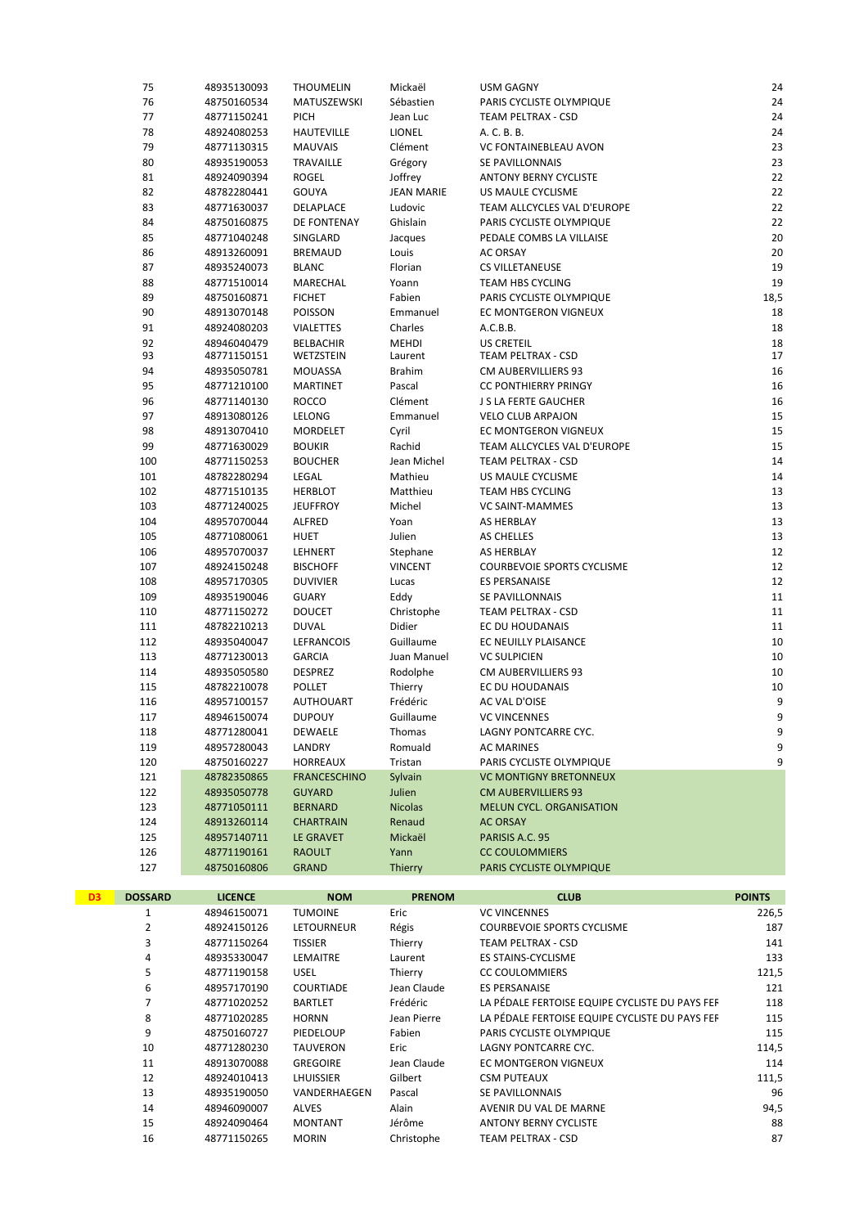|    | 75             | 48935130093    | <b>THOUMELIN</b>              | Mickaël           | <b>USM GAGNY</b>                               | 24            |
|----|----------------|----------------|-------------------------------|-------------------|------------------------------------------------|---------------|
|    | 76             | 48750160534    | MATUSZEWSKI                   | Sébastien         | PARIS CYCLISTE OLYMPIQUE                       | 24            |
|    | 77             | 48771150241    | <b>PICH</b>                   | Jean Luc          | TEAM PELTRAX - CSD                             | 24            |
|    | 78             | 48924080253    | <b>HAUTEVILLE</b>             | <b>LIONEL</b>     | A. C. B. B.                                    | 24            |
|    | 79             | 48771130315    | <b>MAUVAIS</b>                | Clément           | VC FONTAINEBLEAU AVON                          | 23            |
|    | 80             | 48935190053    | TRAVAILLE                     | Grégory           | SE PAVILLONNAIS                                | 23            |
|    | 81             | 48924090394    | <b>ROGEL</b>                  | Joffrey           | <b>ANTONY BERNY CYCLISTE</b>                   | 22            |
|    | 82             | 48782280441    | GOUYA                         | <b>JEAN MARIE</b> | US MAULE CYCLISME                              | 22            |
|    | 83             | 48771630037    | DELAPLACE                     | Ludovic           | TEAM ALLCYCLES VAL D'EUROPE                    | 22            |
|    | 84             | 48750160875    | DE FONTENAY                   | Ghislain          | PARIS CYCLISTE OLYMPIQUE                       | 22            |
|    | 85             | 48771040248    | SINGLARD                      | Jacques           | PEDALE COMBS LA VILLAISE                       | 20            |
|    | 86             | 48913260091    | <b>BREMAUD</b>                | Louis             | AC ORSAY                                       | 20            |
|    | 87             | 48935240073    | <b>BLANC</b>                  | Florian           | <b>CS VILLETANEUSE</b>                         | 19            |
|    | 88             | 48771510014    | MARECHAL                      | Yoann             | TEAM HBS CYCLING                               | 19            |
|    | 89             | 48750160871    | <b>FICHET</b>                 | Fabien            | PARIS CYCLISTE OLYMPIQUE                       | 18,5          |
|    | 90             | 48913070148    | POISSON                       | Emmanuel          | EC MONTGERON VIGNEUX                           | 18            |
|    | 91             | 48924080203    | <b>VIALETTES</b>              | Charles           | A.C.B.B.                                       | 18            |
|    | 92             | 48946040479    |                               | MEHDI             | <b>US CRETEIL</b>                              | 18            |
|    | 93             | 48771150151    | <b>BELBACHIR</b><br>WETZSTEIN | Laurent           | TEAM PELTRAX - CSD                             | 17            |
|    | 94             | 48935050781    | MOUASSA                       | <b>Brahim</b>     | CM AUBERVILLIERS 93                            | 16            |
|    | 95             | 48771210100    | MARTINET                      | Pascal            | <b>CC PONTHIERRY PRINGY</b>                    | 16            |
|    | 96             | 48771140130    | <b>ROCCO</b>                  | Clément           | J S LA FERTE GAUCHER                           | 16            |
|    | 97             | 48913080126    | LELONG                        | Emmanuel          | <b>VELO CLUB ARPAJON</b>                       | 15            |
|    | 98             | 48913070410    | MORDELET                      | Cyril             | EC MONTGERON VIGNEUX                           | 15            |
|    | 99             | 48771630029    | <b>BOUKIR</b>                 | Rachid            | TEAM ALLCYCLES VAL D'EUROPE                    | 15            |
|    | 100            | 48771150253    | <b>BOUCHER</b>                | Jean Michel       | TEAM PELTRAX - CSD                             | 14            |
|    | 101            | 48782280294    | LEGAL                         | Mathieu           | US MAULE CYCLISME                              | 14            |
|    | 102            | 48771510135    | <b>HERBLOT</b>                | Matthieu          | TEAM HBS CYCLING                               | 13            |
|    | 103            | 48771240025    | <b>JEUFFROY</b>               | Michel            | VC SAINT-MAMMES                                | 13            |
|    | 104            | 48957070044    | <b>ALFRED</b>                 | Yoan              | AS HERBLAY                                     | 13            |
|    | 105            | 48771080061    | <b>HUET</b>                   | Julien            | AS CHELLES                                     | 13            |
|    | 106            | 48957070037    | LEHNERT                       | Stephane          | AS HERBLAY                                     | 12            |
|    | 107            | 48924150248    | <b>BISCHOFF</b>               | <b>VINCENT</b>    | <b>COURBEVOIE SPORTS CYCLISME</b>              | 12            |
|    | 108            | 48957170305    | <b>DUVIVIER</b>               | Lucas             | <b>ES PERSANAISE</b>                           | 12            |
|    | 109            | 48935190046    | <b>GUARY</b>                  | Eddy              | SE PAVILLONNAIS                                | 11            |
|    |                |                |                               |                   |                                                |               |
|    |                |                |                               |                   |                                                |               |
|    | 110            | 48771150272    | <b>DOUCET</b>                 | Christophe        | TEAM PELTRAX - CSD                             | 11            |
|    | 111            | 48782210213    | <b>DUVAL</b>                  | Didier            | EC DU HOUDANAIS                                | 11            |
|    | 112            | 48935040047    | LEFRANCOIS                    | Guillaume         | EC NEUILLY PLAISANCE                           | 10            |
|    | 113            | 48771230013    | <b>GARCIA</b>                 | Juan Manuel       | <b>VC SULPICIEN</b>                            | 10            |
|    | 114            | 48935050580    | <b>DESPREZ</b>                | Rodolphe          | <b>CM AUBERVILLIERS 93</b>                     | 10            |
|    | 115            | 48782210078    | <b>POLLET</b>                 | Thierry           | EC DU HOUDANAIS                                | 10            |
|    | 116            | 48957100157    | <b>AUTHOUART</b>              | Frédéric          | AC VAL D'OISE                                  | 9             |
|    | 117            | 48946150074    | <b>DUPOUY</b>                 | Guillaume         | <b>VC VINCENNES</b>                            | 9             |
|    | 118            | 48771280041    | <b>DEWAELE</b>                | Thomas            | LAGNY PONTCARRE CYC.                           | 9             |
|    | 119            | 48957280043    | LANDRY                        | Romuald           | AC MARINES                                     | 9             |
|    | 120            | 48750160227    | <b>HORREAUX</b>               | Tristan           | PARIS CYCLISTE OLYMPIQUE                       | 9             |
|    | 121            | 48782350865    | <b>FRANCESCHINO</b>           | Sylvain           | <b>VC MONTIGNY BRETONNEUX</b>                  |               |
|    | 122            | 48935050778    | <b>GUYARD</b>                 | Julien            | <b>CM AUBERVILLIERS 93</b>                     |               |
|    | 123            | 48771050111    | <b>BERNARD</b>                | <b>Nicolas</b>    | <b>MELUN CYCL. ORGANISATION</b>                |               |
|    | 124            | 48913260114    | <b>CHARTRAIN</b>              | Renaud            | <b>AC ORSAY</b>                                |               |
|    | 125            | 48957140711    | LE GRAVET                     | Mickaël           | PARISIS A.C. 95                                |               |
|    | 126            | 48771190161    | <b>RAOULT</b>                 | Yann              | <b>CC COULOMMIERS</b>                          |               |
|    | 127            | 48750160806    | <b>GRAND</b>                  | Thierry           | PARIS CYCLISTE OLYMPIQUE                       |               |
| D3 | <b>DOSSARD</b> | <b>LICENCE</b> | <b>NOM</b>                    | <b>PRENOM</b>     | <b>CLUB</b>                                    | <b>POINTS</b> |
|    | $\mathbf{1}$   | 48946150071    | <b>TUMOINE</b>                | Eric              | <b>VC VINCENNES</b>                            | 226,5         |
|    | $\overline{2}$ | 48924150126    | LETOURNEUR                    | Régis             | <b>COURBEVOIE SPORTS CYCLISME</b>              | 187           |
|    | 3              | 48771150264    | <b>TISSIER</b>                | Thierry           | TEAM PELTRAX - CSD                             | 141           |
|    | 4              | 48935330047    | LEMAITRE                      | Laurent           | ES STAINS-CYCLISME                             | 133           |
|    | 5              | 48771190158    | <b>USEL</b>                   | Thierry           | <b>CC COULOMMIERS</b>                          | 121,5         |
|    | 6              | 48957170190    | COURTIADE                     | Jean Claude       | <b>ES PERSANAISE</b>                           | 121           |
|    | $\overline{7}$ | 48771020252    | <b>BARTLET</b>                | Frédéric          | LA PÉDALE FERTOISE EQUIPE CYCLISTE DU PAYS FEF | 118           |
|    | 8              | 48771020285    | <b>HORNN</b>                  | Jean Pierre       | LA PÉDALE FERTOISE EQUIPE CYCLISTE DU PAYS FEF | 115           |
|    | 9              | 48750160727    | PIEDELOUP                     | Fabien            | PARIS CYCLISTE OLYMPIQUE                       | 115           |
|    | 10             | 48771280230    | TAUVERON                      | Eric              | LAGNY PONTCARRE CYC.                           | 114,5         |
|    | $11\,$         | 48913070088    | <b>GREGOIRE</b>               | Jean Claude       | EC MONTGERON VIGNEUX                           | 114           |
|    | 12             | 48924010413    | LHUISSIER                     | Gilbert           | <b>CSM PUTEAUX</b>                             | 111,5         |
|    | 13             | 48935190050    | VANDERHAEGEN                  | Pascal            | SE PAVILLONNAIS                                | 96            |
|    | 14             | 48946090007    | <b>ALVES</b>                  | Alain             | AVENIR DU VAL DE MARNE                         | 94,5          |
|    | 15<br>16       | 48924090464    | <b>MONTANT</b>                | Jérôme            | <b>ANTONY BERNY CYCLISTE</b>                   | 88            |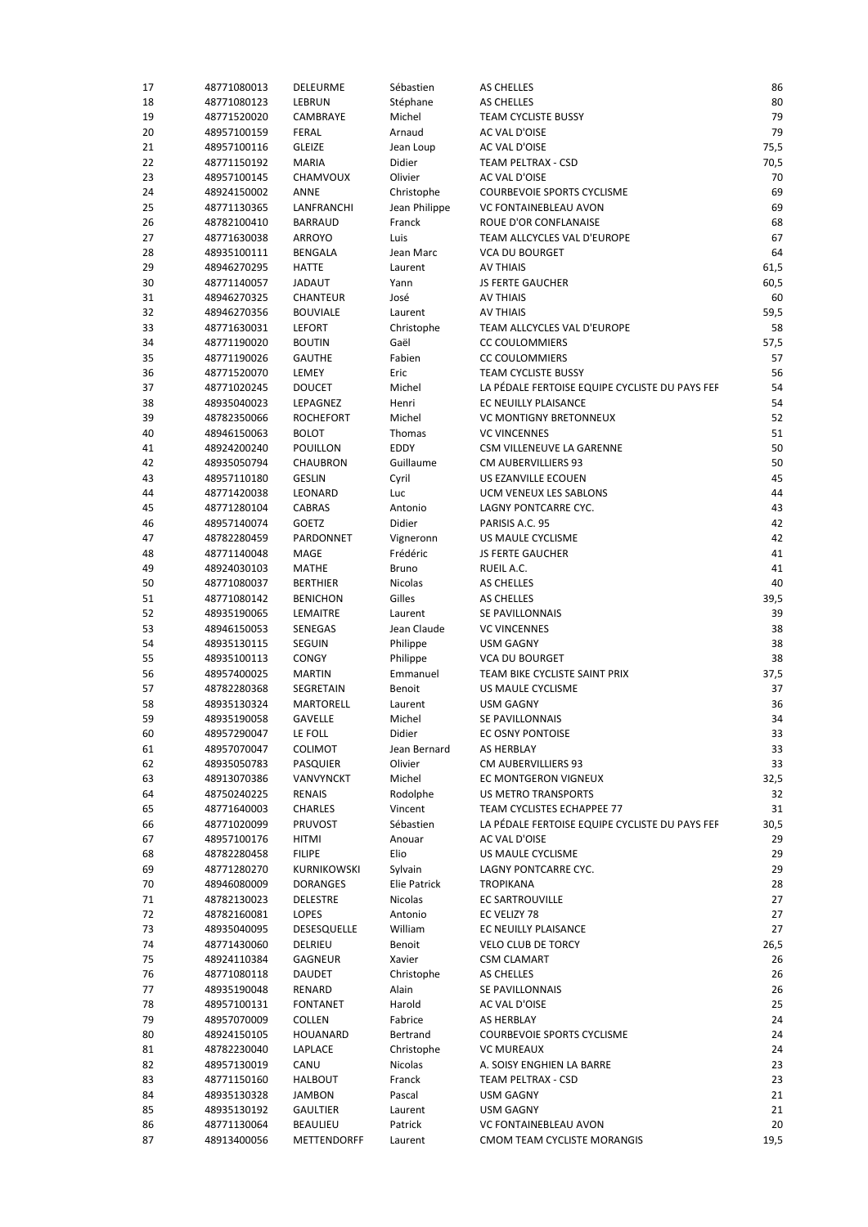| 17 | 48771080013 | <b>DELEURME</b>  | Sébastien       | AS CHELLES                                     | 86   |
|----|-------------|------------------|-----------------|------------------------------------------------|------|
| 18 | 48771080123 | LEBRUN           | Stéphane        | AS CHELLES                                     | 80   |
| 19 | 48771520020 | CAMBRAYE         | Michel          | <b>TEAM CYCLISTE BUSSY</b>                     | 79   |
| 20 | 48957100159 | <b>FERAL</b>     | Arnaud          | AC VAL D'OISE                                  | 79   |
| 21 | 48957100116 | <b>GLEIZE</b>    | Jean Loup       | AC VAL D'OISE                                  | 75,5 |
| 22 | 48771150192 | <b>MARIA</b>     | Didier          | TEAM PELTRAX - CSD                             | 70,5 |
| 23 | 48957100145 | CHAMVOUX         | Olivier         | AC VAL D'OISE                                  | 70   |
| 24 | 48924150002 | ANNE             | Christophe      | COURBEVOIE SPORTS CYCLISME                     | 69   |
| 25 | 48771130365 | LANFRANCHI       | Jean Philippe   | VC FONTAINEBLEAU AVON                          | 69   |
| 26 | 48782100410 | <b>BARRAUD</b>   | Franck          | ROUE D'OR CONFLANAISE                          | 68   |
| 27 | 48771630038 | <b>ARROYO</b>    | Luis            | TEAM ALLCYCLES VAL D'EUROPE                    | 67   |
| 28 | 48935100111 | <b>BENGALA</b>   | Jean Marc       | <b>VCA DU BOURGET</b>                          | 64   |
| 29 | 48946270295 | <b>HATTE</b>     | Laurent         | <b>AV THIAIS</b>                               | 61,5 |
| 30 | 48771140057 | JADAUT           | Yann            | <b>JS FERTE GAUCHER</b>                        | 60,5 |
| 31 | 48946270325 | <b>CHANTEUR</b>  | José            | <b>AV THIAIS</b>                               | 60   |
| 32 | 48946270356 | <b>BOUVIALE</b>  | Laurent         | <b>AV THIAIS</b>                               | 59,5 |
| 33 | 48771630031 | <b>LEFORT</b>    | Christophe      | TEAM ALLCYCLES VAL D'EUROPE                    | 58   |
| 34 | 48771190020 | <b>BOUTIN</b>    | Gaël            | <b>CC COULOMMIERS</b>                          | 57,5 |
| 35 | 48771190026 | <b>GAUTHE</b>    | Fabien          | <b>CC COULOMMIERS</b>                          | 57   |
| 36 |             | LEMEY            | Eric            | TEAM CYCLISTE BUSSY                            | 56   |
|    | 48771520070 |                  |                 | LA PÉDALE FERTOISE EQUIPE CYCLISTE DU PAYS FEF | 54   |
| 37 | 48771020245 | <b>DOUCET</b>    | Michel          |                                                | 54   |
| 38 | 48935040023 | LEPAGNEZ         | Henri<br>Michel | EC NEUILLY PLAISANCE                           |      |
| 39 | 48782350066 | <b>ROCHEFORT</b> |                 | <b>VC MONTIGNY BRETONNEUX</b>                  | 52   |
| 40 | 48946150063 | <b>BOLOT</b>     | Thomas          | <b>VC VINCENNES</b>                            | 51   |
| 41 | 48924200240 | <b>POUILLON</b>  | EDDY            | CSM VILLENEUVE LA GARENNE                      | 50   |
| 42 | 48935050794 | <b>CHAUBRON</b>  | Guillaume       | CM AUBERVILLIERS 93                            | 50   |
| 43 | 48957110180 | <b>GESLIN</b>    | Cyril           | US EZANVILLE ECOUEN                            | 45   |
| 44 | 48771420038 | LEONARD          | Luc             | <b>UCM VENEUX LES SABLONS</b>                  | 44   |
| 45 | 48771280104 | CABRAS           | Antonio         | LAGNY PONTCARRE CYC.                           | 43   |
| 46 | 48957140074 | GOETZ            | Didier          | PARISIS A.C. 95                                | 42   |
| 47 | 48782280459 | PARDONNET        | Vigneronn       | US MAULE CYCLISME                              | 42   |
| 48 | 48771140048 | MAGE             | Frédéric        | <b>JS FERTE GAUCHER</b>                        | 41   |
| 49 | 48924030103 | MATHE            | <b>Bruno</b>    | RUEIL A.C.                                     | 41   |
| 50 | 48771080037 | <b>BERTHIER</b>  | Nicolas         | AS CHELLES                                     | 40   |
| 51 | 48771080142 | <b>BENICHON</b>  | Gilles          | AS CHELLES                                     | 39,5 |
| 52 | 48935190065 | LEMAITRE         | Laurent         | SE PAVILLONNAIS                                | 39   |
| 53 | 48946150053 | SENEGAS          | Jean Claude     | <b>VC VINCENNES</b>                            | 38   |
| 54 | 48935130115 | <b>SEGUIN</b>    | Philippe        | <b>USM GAGNY</b>                               | 38   |
| 55 | 48935100113 | <b>CONGY</b>     | Philippe        | <b>VCA DU BOURGET</b>                          | 38   |
| 56 | 48957400025 | <b>MARTIN</b>    | Emmanuel        | TEAM BIKE CYCLISTE SAINT PRIX                  | 37,5 |
| 57 | 48782280368 | SEGRETAIN        | Benoit          | US MAULE CYCLISME                              | 37   |
| 58 | 48935130324 | <b>MARTORELL</b> | Laurent         | <b>USM GAGNY</b>                               | 36   |
| 59 | 48935190058 | <b>GAVELLE</b>   | Michel          | SE PAVILLONNAIS                                | 34   |
| 60 | 48957290047 | LE FOLL          | Didier          | EC OSNY PONTOISE                               | 33   |
| 61 | 48957070047 | <b>COLIMOT</b>   | Jean Bernard    | AS HERBLAY                                     | 33   |
| 62 | 48935050783 | <b>PASQUIER</b>  | Olivier         | CM AUBERVILLIERS 93                            | 33   |
| 63 | 48913070386 | VANVYNCKT        | Michel          | EC MONTGERON VIGNEUX                           | 32,5 |
| 64 | 48750240225 | <b>RENAIS</b>    | Rodolphe        | <b>US METRO TRANSPORTS</b>                     | 32   |
| 65 | 48771640003 | <b>CHARLES</b>   | Vincent         | <b>TEAM CYCLISTES ECHAPPEE 77</b>              | 31   |
| 66 | 48771020099 | <b>PRUVOST</b>   | Sébastien       | LA PÉDALE FERTOISE EQUIPE CYCLISTE DU PAYS FEF | 30,5 |
| 67 | 48957100176 | <b>HITMI</b>     | Anouar          | AC VAL D'OISE                                  | 29   |
| 68 | 48782280458 | <b>FILIPE</b>    | Elio            | US MAULE CYCLISME                              | 29   |
| 69 | 48771280270 | KURNIKOWSKI      | Sylvain         | LAGNY PONTCARRE CYC.                           | 29   |
| 70 | 48946080009 | <b>DORANGES</b>  | Elie Patrick    | <b>TROPIKANA</b>                               | 28   |
| 71 | 48782130023 | <b>DELESTRE</b>  | Nicolas         | EC SARTROUVILLE                                | 27   |
| 72 | 48782160081 | <b>LOPES</b>     | Antonio         | EC VELIZY 78                                   | 27   |
| 73 | 48935040095 | DESESQUELLE      | William         | EC NEUILLY PLAISANCE                           | 27   |
| 74 | 48771430060 | DELRIEU          | Benoit          | <b>VELO CLUB DE TORCY</b>                      | 26,5 |
| 75 | 48924110384 | GAGNEUR          | Xavier          | <b>CSM CLAMART</b>                             | 26   |
| 76 |             |                  |                 |                                                |      |
|    | 48771080118 | DAUDET           | Christophe      | AS CHELLES                                     | 26   |
| 77 | 48935190048 | RENARD           | Alain           | SE PAVILLONNAIS                                | 26   |
| 78 | 48957100131 | <b>FONTANET</b>  | Harold          | AC VAL D'OISE                                  | 25   |
| 79 | 48957070009 | COLLEN           | Fabrice         | AS HERBLAY                                     | 24   |
| 80 | 48924150105 | HOUANARD         | Bertrand        | <b>COURBEVOIE SPORTS CYCLISME</b>              | 24   |
| 81 | 48782230040 | LAPLACE          | Christophe      | <b>VC MUREAUX</b>                              | 24   |
| 82 | 48957130019 | CANU             | Nicolas         | A. SOISY ENGHIEN LA BARRE                      | 23   |
| 83 | 48771150160 | <b>HALBOUT</b>   | Franck          | TEAM PELTRAX - CSD                             | 23   |
| 84 | 48935130328 | JAMBON           | Pascal          | <b>USM GAGNY</b>                               | 21   |
| 85 | 48935130192 | <b>GAULTIER</b>  | Laurent         | <b>USM GAGNY</b>                               | 21   |
| 86 | 48771130064 | <b>BEAULIEU</b>  | Patrick         | VC FONTAINEBLEAU AVON                          | 20   |
| 87 | 48913400056 | METTENDORFF      | Laurent         | CMOM TEAM CYCLISTE MORANGIS                    | 19,5 |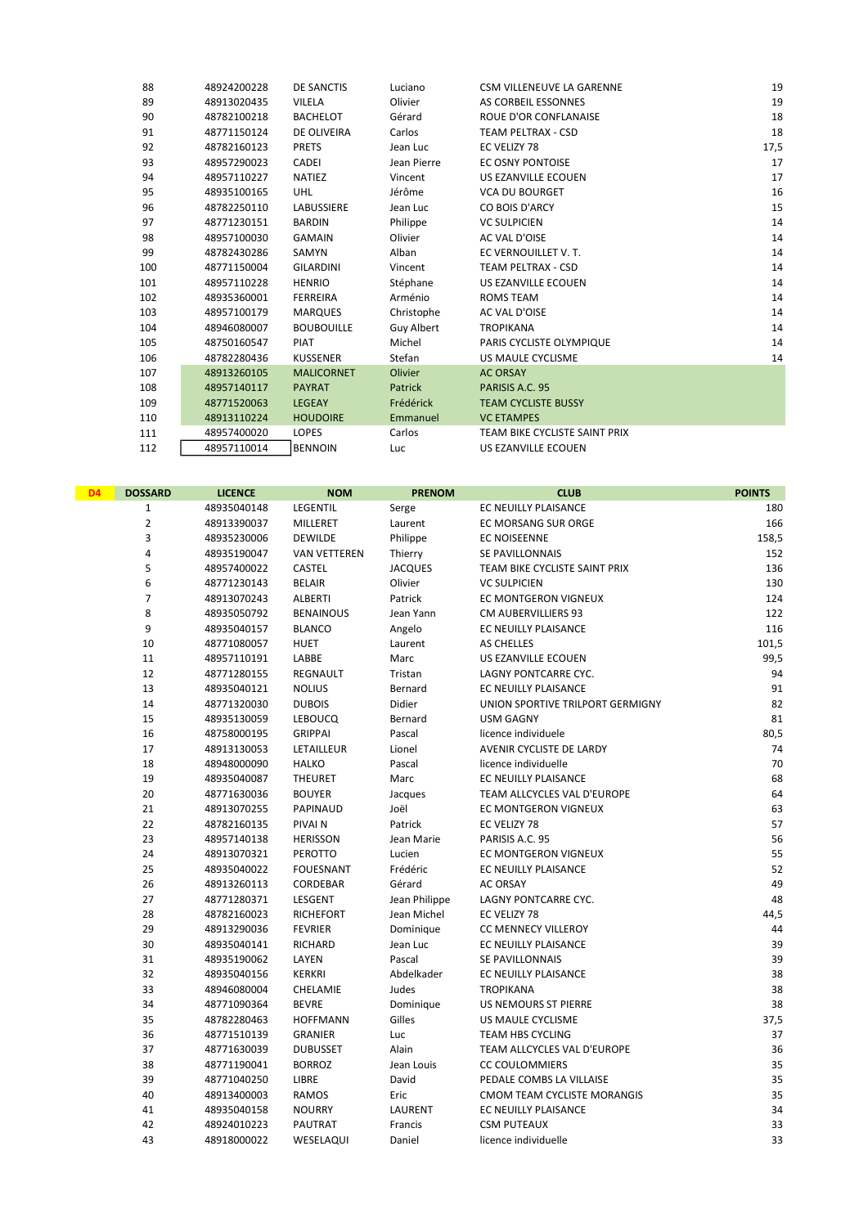| 88  | 48924200228 | DE SANCTIS        | Luciano        | CSM VILLENEUVE LA GARENNE     | 19   |
|-----|-------------|-------------------|----------------|-------------------------------|------|
| 89  | 48913020435 | VILELA            | Olivier        | AS CORBEIL ESSONNES           | 19   |
| 90  | 48782100218 | <b>BACHELOT</b>   | Gérard         | <b>ROUE D'OR CONFLANAISE</b>  | 18   |
| 91  | 48771150124 | DE OLIVEIRA       | Carlos         | <b>TEAM PELTRAX - CSD</b>     | 18   |
| 92  | 48782160123 | <b>PRETS</b>      | Jean Luc       | EC VELIZY 78                  | 17,5 |
| 93  | 48957290023 | CADEI             | Jean Pierre    | EC OSNY PONTOISE              | 17   |
| 94  | 48957110227 | <b>NATIEZ</b>     | Vincent        | US EZANVILLE ECOUEN           | 17   |
| 95  | 48935100165 | <b>UHL</b>        | Jérôme         | <b>VCA DU BOURGET</b>         | 16   |
| 96  | 48782250110 | <b>LABUSSIERE</b> | Jean Luc       | CO BOIS D'ARCY                | 15   |
| 97  | 48771230151 | <b>BARDIN</b>     | Philippe       | <b>VC SULPICIEN</b>           | 14   |
| 98  | 48957100030 | <b>GAMAIN</b>     | Olivier        | AC VAL D'OISE                 | 14   |
| 99  | 48782430286 | SAMYN             | Alban          | EC VERNOUILLET V.T.           | 14   |
| 100 | 48771150004 | <b>GILARDINI</b>  | Vincent        | TEAM PELTRAX - CSD            | 14   |
| 101 | 48957110228 | <b>HENRIO</b>     | Stéphane       | US EZANVILLE ECOUEN           | 14   |
| 102 | 48935360001 | <b>FERREIRA</b>   | Arménio        | <b>ROMS TEAM</b>              | 14   |
| 103 | 48957100179 | <b>MARQUES</b>    | Christophe     | AC VAL D'OISE                 | 14   |
| 104 | 48946080007 | <b>BOUBOUILLE</b> | Guy Albert     | <b>TROPIKANA</b>              | 14   |
| 105 | 48750160547 | <b>PIAT</b>       | Michel         | PARIS CYCLISTE OLYMPIQUE      | 14   |
| 106 | 48782280436 | <b>KUSSENER</b>   | Stefan         | US MAULE CYCLISME             | 14   |
| 107 | 48913260105 | <b>MALICORNET</b> | <b>Olivier</b> | <b>AC ORSAY</b>               |      |
| 108 | 48957140117 | <b>PAYRAT</b>     | Patrick        | PARISIS A.C. 95               |      |
| 109 | 48771520063 | <b>LEGEAY</b>     | Frédérick      | <b>TEAM CYCLISTE BUSSY</b>    |      |
| 110 | 48913110224 | <b>HOUDOIRE</b>   | Emmanuel       | <b>VC ETAMPES</b>             |      |
| 111 | 48957400020 | <b>LOPES</b>      | Carlos         | TEAM BIKE CYCLISTE SAINT PRIX |      |
| 112 | 48957110014 | <b>BENNOIN</b>    | Luc            | US EZANVILLE ECOUEN           |      |
|     |             |                   |                |                               |      |

| D <sub>4</sub> | <b>DOSSARD</b> | <b>LICENCE</b> | <b>NOM</b>          | <b>PRENOM</b>  | <b>CLUB</b>                      | <b>POINTS</b> |
|----------------|----------------|----------------|---------------------|----------------|----------------------------------|---------------|
|                | $\mathbf{1}$   | 48935040148    | LEGENTIL            | Serge          | EC NEUILLY PLAISANCE             | 180           |
|                | $\overline{2}$ | 48913390037    | MILLERET            | Laurent        | EC MORSANG SUR ORGE              | 166           |
|                | 3              | 48935230006    | DEWILDE             | Philippe       | EC NOISEENNE                     | 158,5         |
|                | 4              | 48935190047    | <b>VAN VETTEREN</b> | Thierry        | SE PAVILLONNAIS                  | 152           |
|                | 5              | 48957400022    | <b>CASTEL</b>       | <b>JACQUES</b> | TEAM BIKE CYCLISTE SAINT PRIX    | 136           |
|                | 6              | 48771230143    | <b>BELAIR</b>       | Olivier        | <b>VC SULPICIEN</b>              | 130           |
|                | $\overline{7}$ | 48913070243    | ALBERTI             | Patrick        | EC MONTGERON VIGNEUX             | 124           |
|                | 8              | 48935050792    | <b>BENAINOUS</b>    | Jean Yann      | <b>CM AUBERVILLIERS 93</b>       | 122           |
|                | 9              | 48935040157    | <b>BLANCO</b>       | Angelo         | EC NEUILLY PLAISANCE             | 116           |
|                | 10             | 48771080057    | HUET                | Laurent        | <b>AS CHELLES</b>                | 101,5         |
|                | 11             | 48957110191    | LABBE               | Marc           | US EZANVILLE ECOUEN              | 99,5          |
|                | 12             | 48771280155    | REGNAULT            | Tristan        | LAGNY PONTCARRE CYC.             | 94            |
|                | 13             | 48935040121    | <b>NOLIUS</b>       | Bernard        | EC NEUILLY PLAISANCE             | 91            |
|                | 14             | 48771320030    | <b>DUBOIS</b>       | Didier         | UNION SPORTIVE TRILPORT GERMIGNY | 82            |
|                | 15             | 48935130059    | <b>LEBOUCQ</b>      | Bernard        | <b>USM GAGNY</b>                 | 81            |
|                | 16             | 48758000195    | <b>GRIPPAI</b>      | Pascal         | licence individuele              | 80,5          |
|                | 17             | 48913130053    | LETAILLEUR          | Lionel         | AVENIR CYCLISTE DE LARDY         | 74            |
|                | 18             | 48948000090    | <b>HALKO</b>        | Pascal         | licence individuelle             | 70            |
|                | 19             | 48935040087    | THEURET             | Marc           | EC NEUILLY PLAISANCE             | 68            |
|                | 20             | 48771630036    | <b>BOUYER</b>       | Jacques        | TEAM ALLCYCLES VAL D'EUROPE      | 64            |
|                | 21             | 48913070255    | PAPINAUD            | Joël           | EC MONTGERON VIGNEUX             | 63            |
|                | 22             | 48782160135    | PIVAI N             | Patrick        | EC VELIZY 78                     | 57            |
|                | 23             | 48957140138    | <b>HERISSON</b>     | Jean Marie     | PARISIS A.C. 95                  | 56            |
|                | 24             | 48913070321    | PEROTTO             | Lucien         | EC MONTGERON VIGNEUX             | 55            |
|                | 25             | 48935040022    | <b>FOUESNANT</b>    | Frédéric       | EC NEUILLY PLAISANCE             | 52            |
|                | 26             | 48913260113    | CORDEBAR            | Gérard         | <b>AC ORSAY</b>                  | 49            |
|                | 27             | 48771280371    | LESGENT             | Jean Philippe  | LAGNY PONTCARRE CYC.             | 48            |
|                | 28             | 48782160023    | <b>RICHEFORT</b>    | Jean Michel    | EC VELIZY 78                     | 44,5          |
|                | 29             | 48913290036    | <b>FEVRIER</b>      | Dominique      | <b>CC MENNECY VILLEROY</b>       | 44            |
|                | 30             | 48935040141    | <b>RICHARD</b>      | Jean Luc       | EC NEUILLY PLAISANCE             | 39            |
|                | 31             | 48935190062    | LAYEN               | Pascal         | SE PAVILLONNAIS                  | 39            |
|                | 32             | 48935040156    | <b>KERKRI</b>       | Abdelkader     | EC NEUILLY PLAISANCE             | 38            |
|                | 33             | 48946080004    | CHELAMIE            | Judes          | <b>TROPIKANA</b>                 | 38            |
|                | 34             | 48771090364    | <b>BEVRE</b>        | Dominique      | US NEMOURS ST PIERRE             | 38            |
|                | 35             | 48782280463    | <b>HOFFMANN</b>     | Gilles         | US MAULE CYCLISME                | 37,5          |
|                | 36             | 48771510139    | <b>GRANIER</b>      | Luc            | <b>TEAM HBS CYCLING</b>          | 37            |
|                | 37             | 48771630039    | <b>DUBUSSET</b>     | Alain          | TEAM ALLCYCLES VAL D'EUROPE      | 36            |
|                | 38             | 48771190041    | <b>BORROZ</b>       | Jean Louis     | <b>CC COULOMMIERS</b>            | 35            |
|                | 39             | 48771040250    | LIBRE               | David          | PEDALE COMBS LA VILLAISE         | 35            |
|                | 40             | 48913400003    | RAMOS               | Eric           | CMOM TEAM CYCLISTE MORANGIS      | 35            |
|                | 41             | 48935040158    | <b>NOURRY</b>       | LAURENT        | EC NEUILLY PLAISANCE             | 34            |
|                | 42             | 48924010223    | PAUTRAT             | Francis        | <b>CSM PUTEAUX</b>               | 33            |
|                | 43             | 48918000022    | WESELAQUI           | Daniel         | licence individuelle             | 33            |